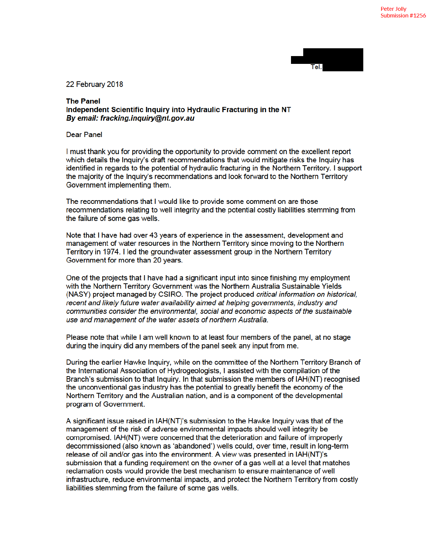22 February 2018

## **The Panel** Independent Scientific Inquiry into Hydraulic Fracturing in the NT By email: fracking.inquiry@nt.gov.au

**Dear Panel** 

I must thank you for providing the opportunity to provide comment on the excellent report which details the Inquiry's draft recommendations that would mitigate risks the Inquiry has identified in regards to the potential of hydraulic fracturing in the Northern Territory. I support the majority of the Inquiry's recommendations and look forward to the Northern Territory Government implementing them.

The recommendations that I would like to provide some comment on are those recommendations relating to well integrity and the potential costly liabilities stemming from the failure of some gas wells.

Note that I have had over 43 years of experience in the assessment, development and management of water resources in the Northern Territory since moving to the Northern Territory in 1974. I led the groundwater assessment group in the Northern Territory Government for more than 20 years.

One of the projects that I have had a significant input into since finishing my employment with the Northern Territory Government was the Northern Australia Sustainable Yields (NASY) project managed by CSIRO. The project produced critical information on historical, recent and likely future water availability aimed at helping governments, industry and communities consider the environmental, social and economic aspects of the sustainable use and management of the water assets of northern Australia.

Please note that while I am well known to at least four members of the panel, at no stage during the inguiry did any members of the panel seek any input from me.

During the earlier Hawke Inguiry, while on the committee of the Northern Territory Branch of the International Association of Hydrogeologists, I assisted with the compilation of the Branch's submission to that Inquiry. In that submission the members of IAH(NT) recognised the unconventional gas industry has the potential to greatly benefit the economy of the Northern Territory and the Australian nation, and is a component of the developmental program of Government.

A significant issue raised in IAH(NT)'s submission to the Hawke Inquiry was that of the management of the risk of adverse environmental impacts should well integrity be compromised. IAH(NT) were concerned that the deterioration and failure of improperly decommissioned (also known as 'abandoned') wells could, over time, result in long-term release of oil and/or gas into the environment. A view was presented in IAH(NT)'s submission that a funding requirement on the owner of a gas well at a level that matches reclamation costs would provide the best mechanism to ensure maintenance of well infrastructure, reduce environmental impacts, and protect the Northern Territory from costly liabilities stemming from the failure of some gas wells.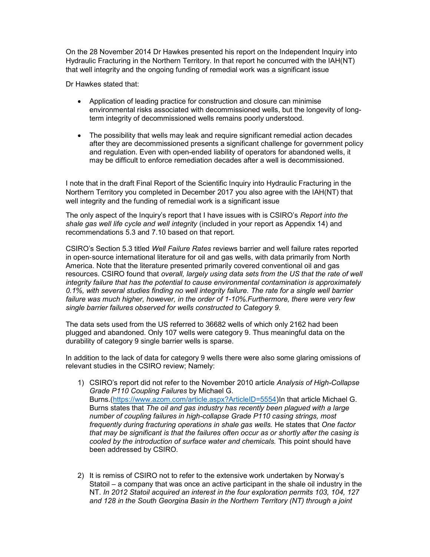On the 28 November 2014 Dr Hawkes presented his report on the Independent Inquiry into Hydraulic Fracturing in the Northern Territory. In that report he concurred with the IAH(NT) that well integrity and the ongoing funding of remedial work was a significant issue

Dr Hawkes stated that:

- Application of leading practice for construction and closure can minimise environmental risks associated with decommissioned wells, but the longevity of longterm integrity of decommissioned wells remains poorly understood.
- The possibility that wells may leak and require significant remedial action decades after they are decommissioned presents a significant challenge for government policy and regulation. Even with open-ended liability of operators for abandoned wells, it may be difficult to enforce remediation decades after a well is decommissioned.

I note that in the draft Final Report of the Scientific Inquiry into Hydraulic Fracturing in the Northern Territory you completed in December 2017 you also agree with the IAH(NT) that well integrity and the funding of remedial work is a significant issue

The only aspect of the Inquiry's report that I have issues with is CSIRO's Report into the shale gas well life cycle and well integrity (included in your report as Appendix 14) and recommendations 5.3 and 7.10 based on that report.

CSIRO's Section 5.3 titled Well Failure Rates reviews barrier and well failure rates reported in open‐source international literature for oil and gas wells, with data primarily from North America. Note that the literature presented primarily covered conventional oil and gas resources. CSIRO found that overall, largely using data sets from the US that the rate of well integrity failure that has the potential to cause environmental contamination is approximately 0.1%, with several studies finding no well integrity failure. The rate for a single well barrier failure was much higher, however, in the order of 1-10%.Furthermore, there were very few single barrier failures observed for wells constructed to Category 9.

The data sets used from the US referred to 36682 wells of which only 2162 had been plugged and abandoned. Only 107 wells were category 9. Thus meaningful data on the durability of category 9 single barrier wells is sparse.

In addition to the lack of data for category 9 wells there were also some glaring omissions of relevant studies in the CSIRO review; Namely:

- 1) CSIRO's report did not refer to the November 2010 article Analysis of High-Collapse Grade P110 Coupling Failures by Michael G. Burns.(https://www.azom.com/article.aspx?ArticleID=5554)In that article Michael G. Burns states that The oil and gas industry has recently been plagued with a large number of coupling failures in high-collapse Grade P110 casing strings, most frequently during fracturing operations in shale gas wells. He states that One factor that may be significant is that the failures often occur as or shortly after the casing is cooled by the introduction of surface water and chemicals. This point should have been addressed by CSIRO.
- 2) It is remiss of CSIRO not to refer to the extensive work undertaken by Norway's Statoil – a company that was once an active participant in the shale oil industry in the NT. In 2012 Statoil acquired an interest in the four exploration permits 103, 104, 127 and 128 in the South Georgina Basin in the Northern Territory (NT) through a joint